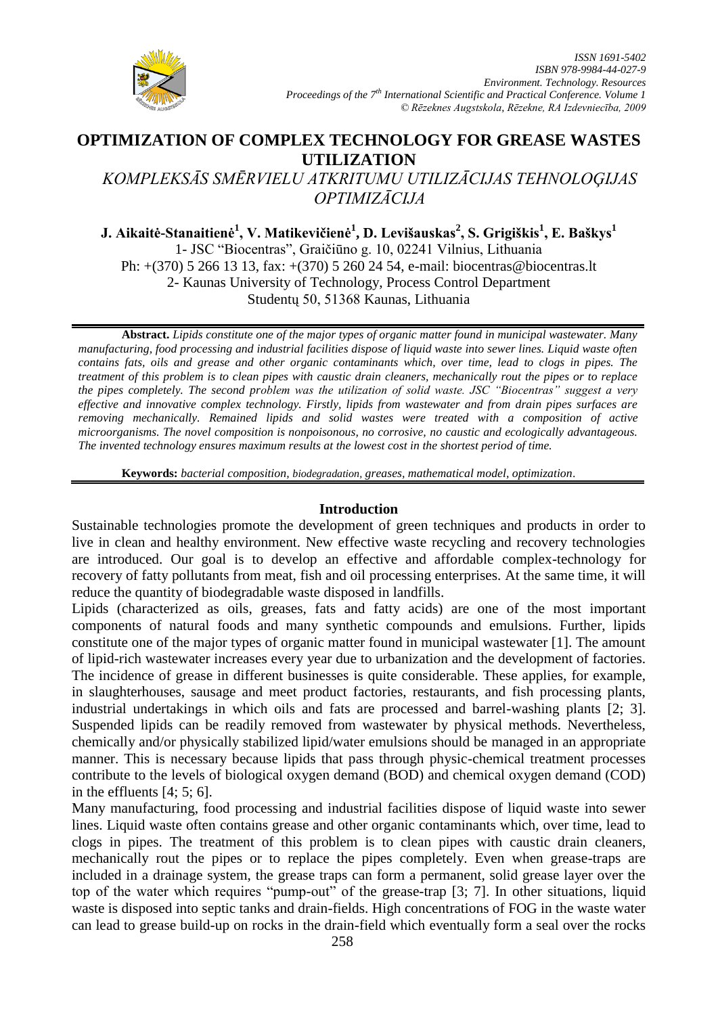

# **OPTIMIZATION OF COMPLEX TECHNOLOGY FOR GREASE WASTES UTILIZATION**

*KOMPLEKSĀS SMĒRVIELU ATKRITUMU UTILIZĀCIJAS TEHNOLOĢIJAS OPTIMIZĀCIJA*

**J. Aikaitė-Stanaitienė<sup>1</sup> , V. Matikevičienė<sup>1</sup> , D. Levišauskas<sup>2</sup> , S. Grigiškis<sup>1</sup> , E. Baškys<sup>1</sup>** 1- JSC "Biocentras", Graičiūno g. 10, 02241 Vilnius, Lithuania Ph: +(370) 5 266 13 13, fax: +(370) 5 260 24 54, e-mail: biocentras@biocentras.lt 2- Kaunas University of Technology, Process Control Department Studentų 50, 51368 Kaunas, Lithuania

**Abstract.** *Lipids constitute one of the major types of organic matter found in municipal wastewater. Many manufacturing, food processing and industrial facilities dispose of liquid waste into sewer lines. Liquid waste often contains fats, oils and grease and other organic contaminants which, over time, lead to clogs in pipes. The treatment of this problem is to clean pipes with caustic drain cleaners, mechanically rout the pipes or to replace the pipes completely. The second problem was the utilization of solid waste. JSC "Biocentras" suggest a very effective and innovative complex technology. Firstly, lipids from wastewater and from drain pipes surfaces are removing mechanically. Remained lipids and solid wastes were treated with a composition of active microorganisms. The novel composition is nonpoisonous, no corrosive, no caustic and ecologically advantageous. The invented technology ensures maximum results at the lowest cost in the shortest period of time.*

**Keywords:** *bacterial composition, biodegradation, greases, mathematical model, optimization*.

## **Introduction**

Sustainable technologies promote the development of green techniques and products in order to live in clean and healthy environment. New effective waste recycling and recovery technologies are introduced. Our goal is to develop an effective and affordable complex-technology for recovery of fatty pollutants from meat, fish and oil processing enterprises. At the same time, it will reduce the quantity of biodegradable waste disposed in landfills.

Lipids (characterized as oils, greases, fats and fatty acids) are one of the most important components of natural foods and many synthetic compounds and emulsions. Further, lipids constitute one of the major types of organic matter found in municipal wastewater [1]. The amount of lipid-rich wastewater increases every year due to urbanization and the development of factories. The incidence of grease in different businesses is quite considerable. These applies, for example, in slaughterhouses, sausage and meet product factories, restaurants, and fish processing plants, industrial undertakings in which oils and fats are processed and barrel-washing plants [2; 3]. Suspended lipids can be readily removed from wastewater by physical methods. Nevertheless, chemically and/or physically stabilized lipid/water emulsions should be managed in an appropriate manner. This is necessary because lipids that pass through physic-chemical treatment processes contribute to the levels of biological oxygen demand (BOD) and chemical oxygen demand (COD) in the effluents [4; 5; 6].

Many manufacturing, food processing and industrial facilities dispose of liquid waste into sewer lines. Liquid waste often contains grease and other organic contaminants which, over time, lead to clogs in pipes. The treatment of this problem is to clean pipes with caustic drain cleaners, mechanically rout the pipes or to replace the pipes completely. Even when grease-traps are included in a drainage system, the grease traps can form a permanent, solid grease layer over the top of the water which requires "pump-out" of the grease-trap [3; 7]. In other situations, liquid waste is disposed into septic tanks and drain-fields. High concentrations of FOG in the waste water can lead to grease build-up on rocks in the drain-field which eventually form a seal over the rocks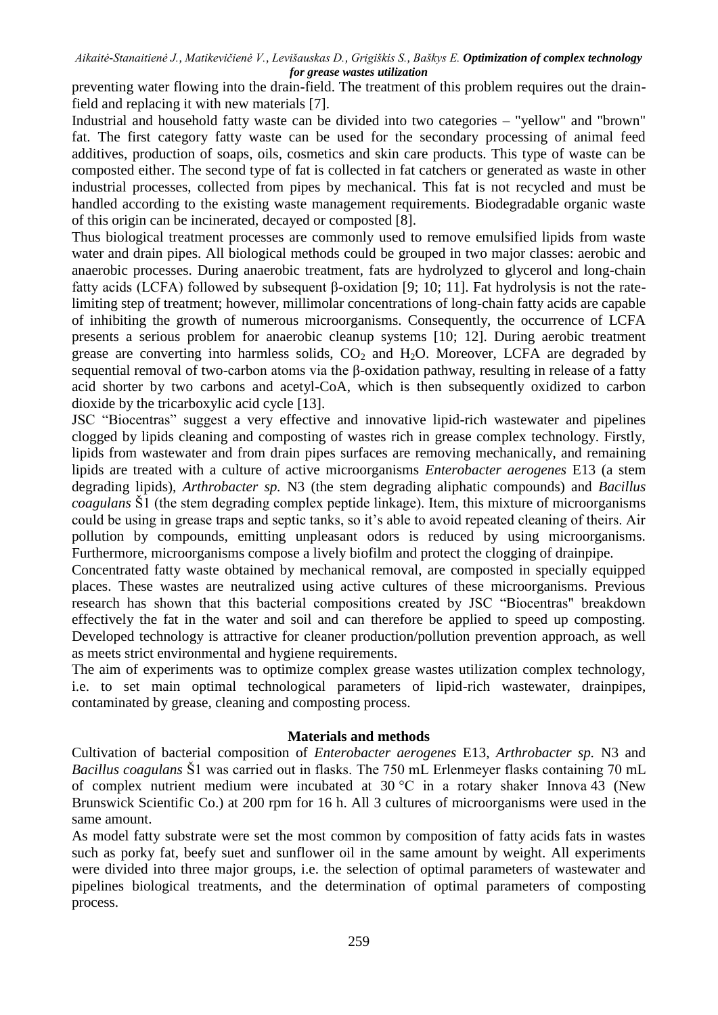preventing water flowing into the drain-field. The treatment of this problem requires out the drainfield and replacing it with new materials [7].

Industrial and household fatty waste can be divided into two categories – "yellow" and "brown" fat. The first category fatty waste can be used for the secondary processing of animal feed additives, production of soaps, oils, cosmetics and skin care products. This type of waste can be composted either. The second type of fat is collected in fat catchers or generated as waste in other industrial processes, collected from pipes by mechanical. This fat is not recycled and must be handled according to the existing waste management requirements. Biodegradable organic waste of this origin can be incinerated, decayed or composted [8].

Thus biological treatment processes are commonly used to remove emulsified lipids from waste water and drain pipes. All biological methods could be grouped in two major classes: aerobic and anaerobic processes. During anaerobic treatment, fats are hydrolyzed to glycerol and long-chain fatty acids (LCFA) followed by subsequent β-oxidation [9; 10; 11]. Fat hydrolysis is not the ratelimiting step of treatment; however, millimolar concentrations of long-chain fatty acids are capable of inhibiting the growth of numerous microorganisms. Consequently, the occurrence of LCFA presents a serious problem for anaerobic cleanup systems [10; 12]. During aerobic treatment grease are converting into harmless solids,  $CO<sub>2</sub>$  and  $H<sub>2</sub>O$ . Moreover, LCFA are degraded by sequential removal of two-carbon atoms via the β-oxidation pathway, resulting in release of a fatty acid shorter by two carbons and acetyl-CoA, which is then subsequently oxidized to carbon dioxide by the tricarboxylic acid cycle [13].

JSC "Biocentras" suggest a very effective and innovative lipid-rich wastewater and pipelines clogged by lipids cleaning and composting of wastes rich in grease complex technology. Firstly, lipids from wastewater and from drain pipes surfaces are removing mechanically, and remaining lipids are treated with a culture of active microorganisms *Enterobacter aerogenes* E13 (a stem degrading lipids), *Arthrobacter sp.* N3 (the stem degrading aliphatic compounds) and *Bacillus coagulans* Š1 (the stem degrading complex peptide linkage). Item, this mixture of microorganisms could be using in grease traps and septic tanks, so it's able to avoid repeated cleaning of theirs. Air pollution by compounds, emitting unpleasant odors is reduced by using microorganisms. Furthermore, microorganisms compose a lively biofilm and protect the clogging of drainpipe.

Concentrated fatty waste obtained by mechanical removal, are composted in specially equipped places. These wastes are neutralized using active cultures of these microorganisms. Previous research has shown that this bacterial compositions created by JSC "Biocentras" breakdown effectively the fat in the water and soil and can therefore be applied to speed up composting. Developed technology is attractive for cleaner production/pollution prevention approach, as well as meets strict environmental and hygiene requirements.

The aim of experiments was to optimize complex grease wastes utilization complex technology, i.e. to set main optimal technological parameters of lipid-rich wastewater, drainpipes, contaminated by grease, cleaning and composting process.

## **Materials and methods**

Cultivation of bacterial composition of *Enterobacter aerogenes* E13, *Arthrobacter sp.* N3 and *Bacillus coagulans* Š1 was carried out in flasks. The 750 mL Erlenmeyer flasks containing 70 mL of complex nutrient medium were incubated at 30 °C in a rotary shaker Innova 43 (New Brunswick Scientific Co.) at 200 rpm for 16 h. All 3 cultures of microorganisms were used in the same amount.

As model fatty substrate were set the most common by composition of fatty acids fats in wastes such as porky fat, beefy suet and sunflower oil in the same amount by weight. All experiments were divided into three major groups, i.e. the selection of optimal parameters of wastewater and pipelines biological treatments, and the determination of optimal parameters of composting process.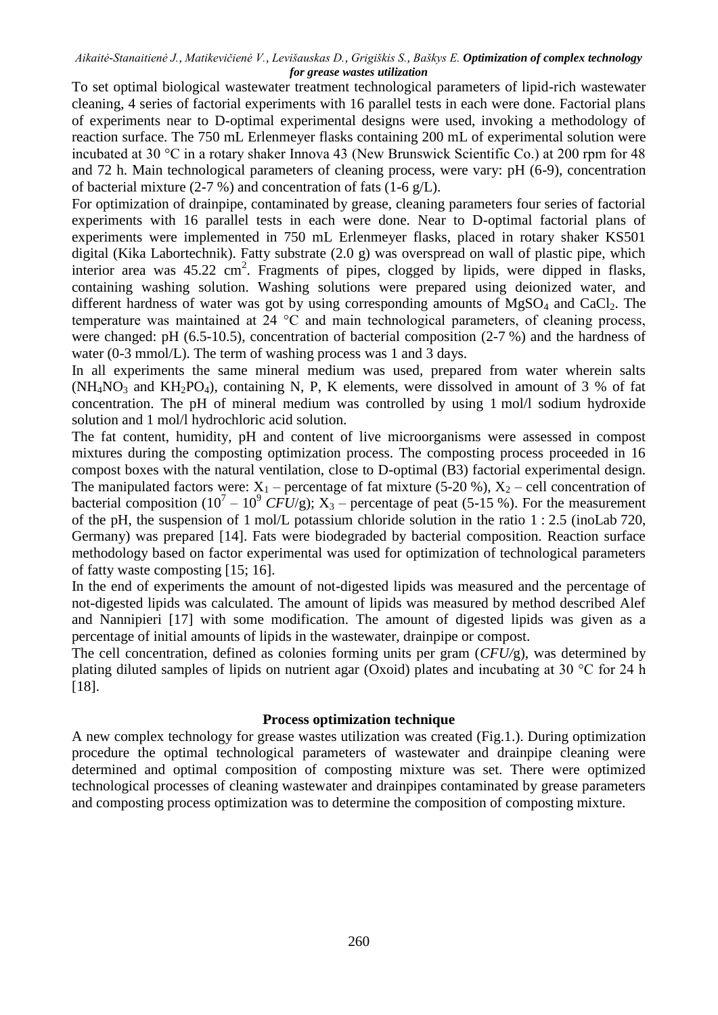To set optimal biological wastewater treatment technological parameters of lipid-rich wastewater cleaning, 4 series of factorial experiments with 16 parallel tests in each were done. Factorial plans of experiments near to D-optimal experimental designs were used, invoking a methodology of reaction surface. The 750 mL Erlenmeyer flasks containing 200 mL of experimental solution were incubated at 30 °C in a rotary shaker Innova 43 (New Brunswick Scientific Co.) at 200 rpm for 48 and 72 h. Main technological parameters of cleaning process, were vary: pH (6-9), concentration of bacterial mixture (2-7 %) and concentration of fats (1-6  $g/L$ ).

For optimization of drainpipe, contaminated by grease, cleaning parameters four series of factorial experiments with 16 parallel tests in each were done. Near to D-optimal factorial plans of experiments were implemented in 750 mL Erlenmeyer flasks, placed in rotary shaker KS501 digital (Kika Labortechnik). Fatty substrate (2.0 g) was overspread on wall of plastic pipe, which interior area was 45.22 cm<sup>2</sup>. Fragments of pipes, clogged by lipids, were dipped in flasks, containing washing solution. Washing solutions were prepared using deionized water, and different hardness of water was got by using corresponding amounts of  $MgSO<sub>4</sub>$  and  $CaCl<sub>2</sub>$ . The temperature was maintained at 24 °C and main technological parameters, of cleaning process, were changed: pH (6.5-10.5), concentration of bacterial composition (2-7 %) and the hardness of water (0-3 mmol/L). The term of washing process was 1 and 3 days.

In all experiments the same mineral medium was used, prepared from water wherein salts  $(NH_4NO_3$  and  $KH_2PO_4$ ), containing N, P, K elements, were dissolved in amount of 3 % of fat concentration. The pH of mineral medium was controlled by using 1 mol/l sodium hydroxide solution and 1 mol/l hydrochloric acid solution.

The fat content, humidity, pH and content of live microorganisms were assessed in compost mixtures during the composting optimization process. The composting process proceeded in 16 compost boxes with the natural ventilation, close to D-optimal (B3) factorial experimental design. The manipulated factors were:  $X_1$  – percentage of fat mixture (5-20 %),  $X_2$  – cell concentration of bacterial composition  $(10^7 - 10^9 \text{ CFU/g})$ ; X<sub>3</sub> – percentage of peat (5-15 %). For the measurement of the pH, the suspension of 1 mol/L potassium chloride solution in the ratio 1 : 2.5 (inoLab 720, Germany) was prepared [14]. Fats were biodegraded by bacterial composition. Reaction surface methodology based on factor experimental was used for optimization of technological parameters of fatty waste composting [15; 16].

In the end of experiments the amount of not-digested lipids was measured and the percentage of not-digested lipids was calculated. The amount of lipids was measured by method described Alef and Nannipieri [17] with some modification. The amount of digested lipids was given as a percentage of initial amounts of lipids in the wastewater, drainpipe or compost.

The cell concentration, defined as colonies forming units per gram (*CFU/*g), was determined by plating diluted samples of lipids on nutrient agar (Oxoid) plates and incubating at 30 °C for 24 h [18].

## **Process optimization technique**

A new complex technology for grease wastes utilization was created (Fig.1.). During optimization procedure the optimal technological parameters of wastewater and drainpipe cleaning were determined and optimal composition of composting mixture was set. There were optimized technological processes of cleaning wastewater and drainpipes contaminated by grease parameters and composting process optimization was to determine the composition of composting mixture.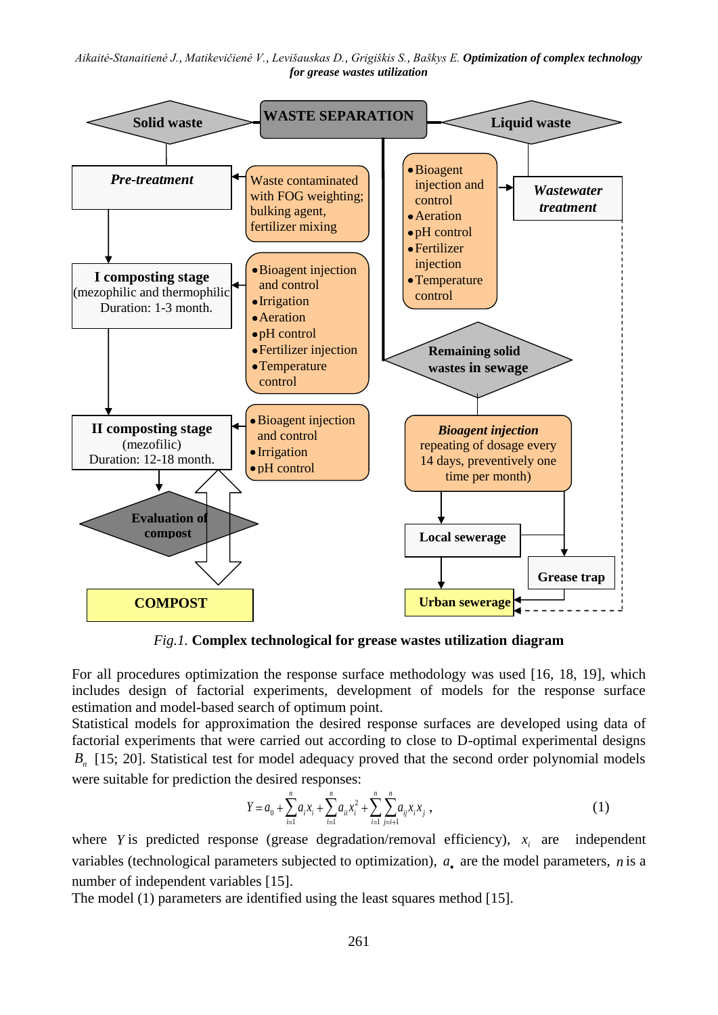

*Fig.1.* **Complex technological for grease wastes utilization diagram**

For all procedures optimization the response surface methodology was used [16, 18, 19], which includes design of factorial experiments, development of models for the response surface estimation and model-based search of optimum point.

Statistical models for approximation the desired response surfaces are developed using data of factorial experiments that were carried out according to close to D-optimal experimental designs *B*<sub>n</sub> [15; 20]. Statistical test for model adequacy proved that the second order polynomial models were suitable for prediction the desired responses:

$$
Y = a_0 + \sum_{i=1}^{n} a_i x_i + \sum_{i=1}^{n} a_{ii} x_i^2 + \sum_{i=1}^{n} \sum_{j=i+1}^{n} a_{ij} x_i x_j,
$$
 (1)

where *Y* is predicted response (grease degradation/removal efficiency),  $x_i$  are independent variables (technological parameters subjected to optimization),  $a_{\bullet}$  are the model parameters, *n* is a number of independent variables [15].

The model (1) parameters are identified using the least squares method [15].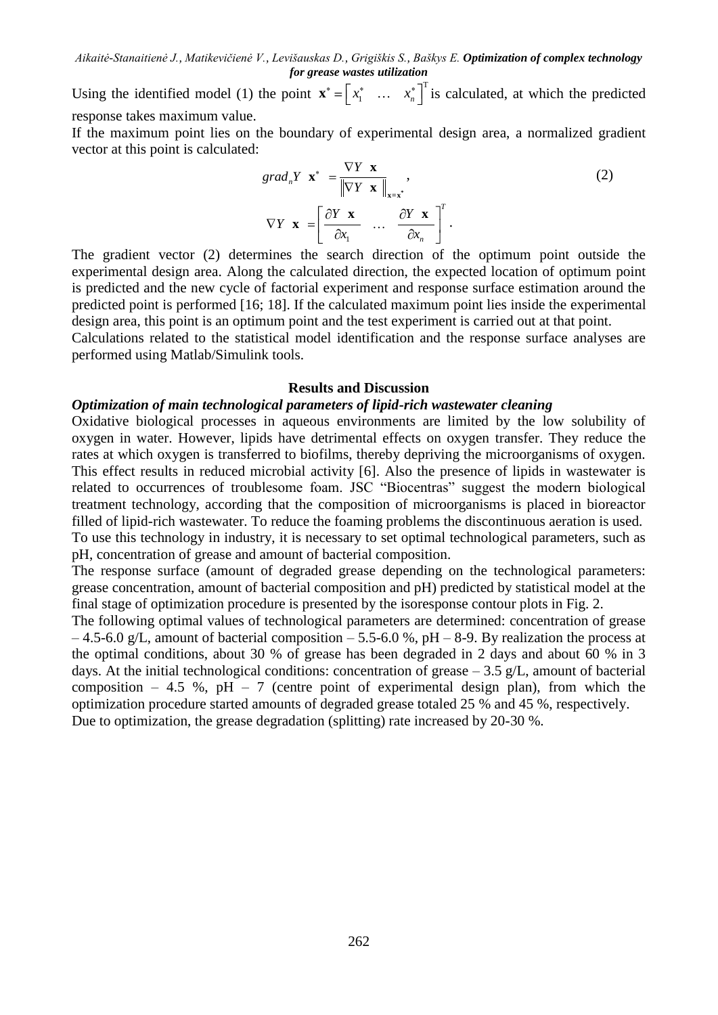Using the identified model (1) the point  $\mathbf{x}^* = \begin{bmatrix} x_1^* & \dots & x_n^* \end{bmatrix}^T$  $\mathbf{x}^* = \begin{bmatrix} x_1^* & \dots & x_n^* \end{bmatrix}^T$  is calculated, at which the predicted response takes maximum value.

If the maximum point lies on the boundary of experimental design area, a normalized gradient vector at this point is calculated:

$$
grad_{n} Y \mathbf{x}^{*} = \frac{\nabla Y \mathbf{x}}{\|\nabla Y \mathbf{x}\|_{\mathbf{x}=\mathbf{x}^{*}}},
$$
  
\n
$$
\nabla Y \mathbf{x} = \left[\frac{\partial Y \mathbf{x}}{\partial x_{1}} \dots \frac{\partial Y \mathbf{x}}{\partial x_{n}}\right]^{T}.
$$
\n(2)

The gradient vector (2) determines the search direction of the optimum point outside the experimental design area. Along the calculated direction, the expected location of optimum point is predicted and the new cycle of factorial experiment and response surface estimation around the predicted point is performed [16; 18]. If the calculated maximum point lies inside the experimental design area, this point is an optimum point and the test experiment is carried out at that point.

Calculations related to the statistical model identification and the response surface analyses are performed using Matlab/Simulink tools.

#### **Results and Discussion**

#### *Optimization of main technological parameters of lipid-rich wastewater cleaning*

Oxidative biological processes in aqueous environments are limited by the low solubility of oxygen in water. However, lipids have detrimental effects on oxygen transfer. They reduce the rates at which oxygen is transferred to biofilms, thereby depriving the microorganisms of oxygen. This effect results in reduced microbial activity [6]. Also the presence of lipids in wastewater is related to occurrences of troublesome foam. JSC "Biocentras" suggest the modern biological treatment technology, according that the composition of microorganisms is placed in bioreactor filled of lipid-rich wastewater. To reduce the foaming problems the discontinuous aeration is used. To use this technology in industry, it is necessary to set optimal technological parameters, such as pH, concentration of grease and amount of bacterial composition.

The response surface (amount of degraded grease depending on the technological parameters: grease concentration, amount of bacterial composition and pH) predicted by statistical model at the final stage of optimization procedure is presented by the isoresponse contour plots in Fig. 2.

The following optimal values of technological parameters are determined: concentration of grease  $-4.5$ -6.0 g/L, amount of bacterial composition  $-5.5$ -6.0 %, pH  $-8$ -9. By realization the process at the optimal conditions, about 30 % of grease has been degraded in 2 days and about 60 % in 3 days. At the initial technological conditions: concentration of grease  $-3.5$  g/L, amount of bacterial composition – 4.5 %, pH – 7 (centre point of experimental design plan), from which the optimization procedure started amounts of degraded grease totaled 25 % and 45 %, respectively. Due to optimization, the grease degradation (splitting) rate increased by 20-30 %.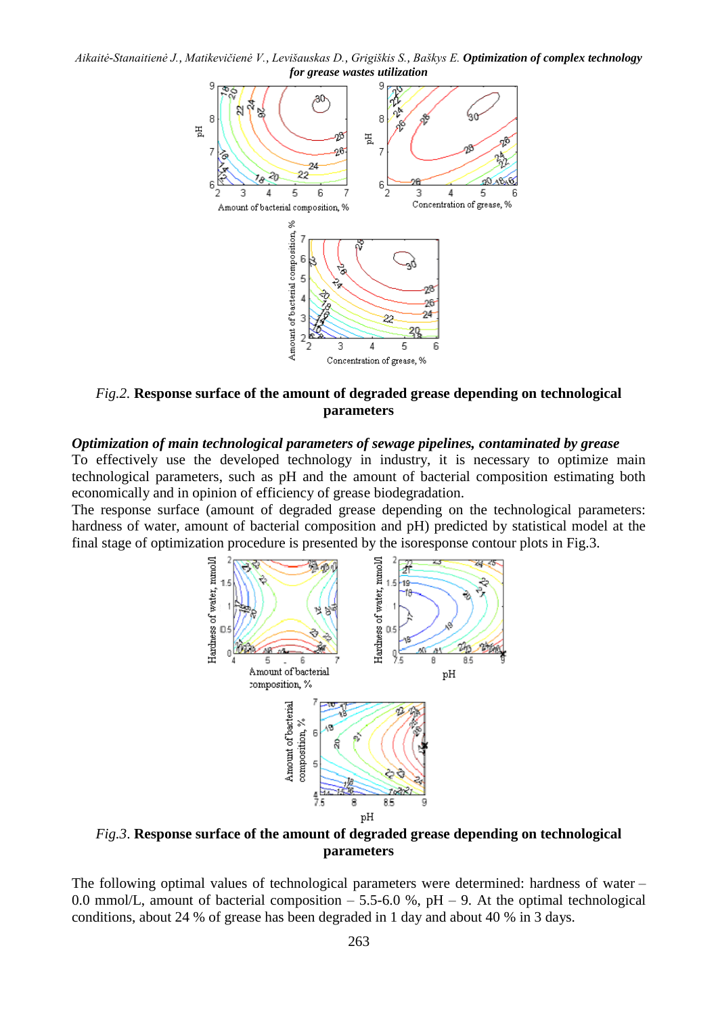*Aikaitė-Stanaitienė J., Matikevičienė V., Levišauskas D., Grigiškis S., Baškys E. Optimization of complex technology for grease wastes utilization*



*Fig.2.* **Response surface of the amount of degraded grease depending on technological parameters**

## *Optimization of main technological parameters of sewage pipelines, contaminated by grease*

To effectively use the developed technology in industry, it is necessary to optimize main technological parameters, such as pH and the amount of bacterial composition estimating both economically and in opinion of efficiency of grease biodegradation.

The response surface (amount of degraded grease depending on the technological parameters: hardness of water, amount of bacterial composition and pH) predicted by statistical model at the final stage of optimization procedure is presented by the isoresponse contour plots in Fig.3.



*Fig.3*. **Response surface of the amount of degraded grease depending on technological parameters**

The following optimal values of technological parameters were determined: hardness of water – 0.0 mmol/L, amount of bacterial composition  $-$  5.5-6.0 %, pH  $-$  9. At the optimal technological conditions, about 24 % of grease has been degraded in 1 day and about 40 % in 3 days.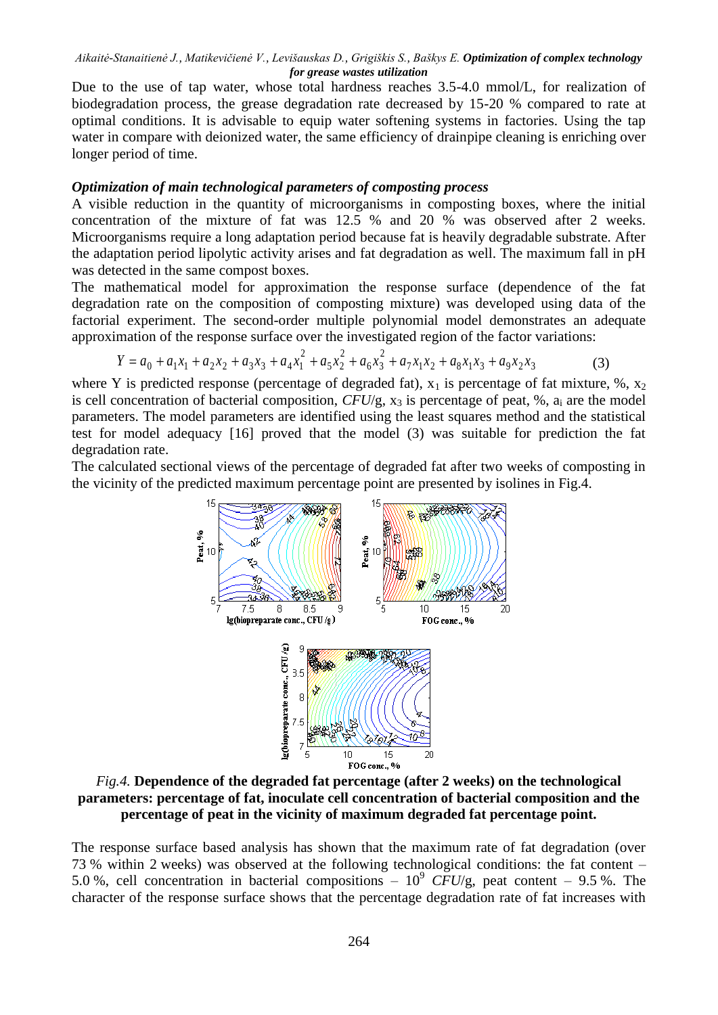Due to the use of tap water, whose total hardness reaches 3.5-4.0 mmol/L, for realization of biodegradation process, the grease degradation rate decreased by 15-20 % compared to rate at optimal conditions. It is advisable to equip water softening systems in factories. Using the tap water in compare with deionized water, the same efficiency of drainpipe cleaning is enriching over longer period of time.

## *Optimization of main technological parameters of composting process*

A visible reduction in the quantity of microorganisms in composting boxes, where the initial concentration of the mixture of fat was 12.5 % and 20 % was observed after 2 weeks. Microorganisms require a long adaptation period because fat is heavily degradable substrate. After the adaptation period lipolytic activity arises and fat degradation as well. The maximum fall in pH was detected in the same compost boxes.

The mathematical model for approximation the response surface (dependence of the fat degradation rate on the composition of composting mixture) was developed using data of the factorial experiment. The second-order multiple polynomial model demonstrates an adequate approximation of the response surface over the investigated region of the factor variations:

$$
Y = a_0 + a_1 x_1 + a_2 x_2 + a_3 x_3 + a_4 x_1^2 + a_5 x_2^2 + a_6 x_3^2 + a_7 x_1 x_2 + a_8 x_1 x_3 + a_9 x_2 x_3 \tag{3}
$$

where Y is predicted response (percentage of degraded fat),  $x_1$  is percentage of fat mixture, %,  $x_2$ is cell concentration of bacterial composition,  $CFU/g$ ,  $x_3$  is percentage of peat, %,  $a_i$  are the model parameters. The model parameters are identified using the least squares method and the statistical test for model adequacy [16] proved that the model (3) was suitable for prediction the fat degradation rate.

The calculated sectional views of the percentage of degraded fat after two weeks of composting in the vicinity of the predicted maximum percentage point are presented by isolines in Fig.4.



*Fig.4.* **Dependence of the degraded fat percentage (after 2 weeks) on the technological parameters: percentage of fat, inoculate cell concentration of bacterial composition and the percentage of peat in the vicinity of maximum degraded fat percentage point.**

The response surface based analysis has shown that the maximum rate of fat degradation (over 73 % within 2 weeks) was observed at the following technological conditions: the fat content – 5.0 %, cell concentration in bacterial compositions  $-10^9$  CFU/g, peat content  $-9.5$  %. The character of the response surface shows that the percentage degradation rate of fat increases with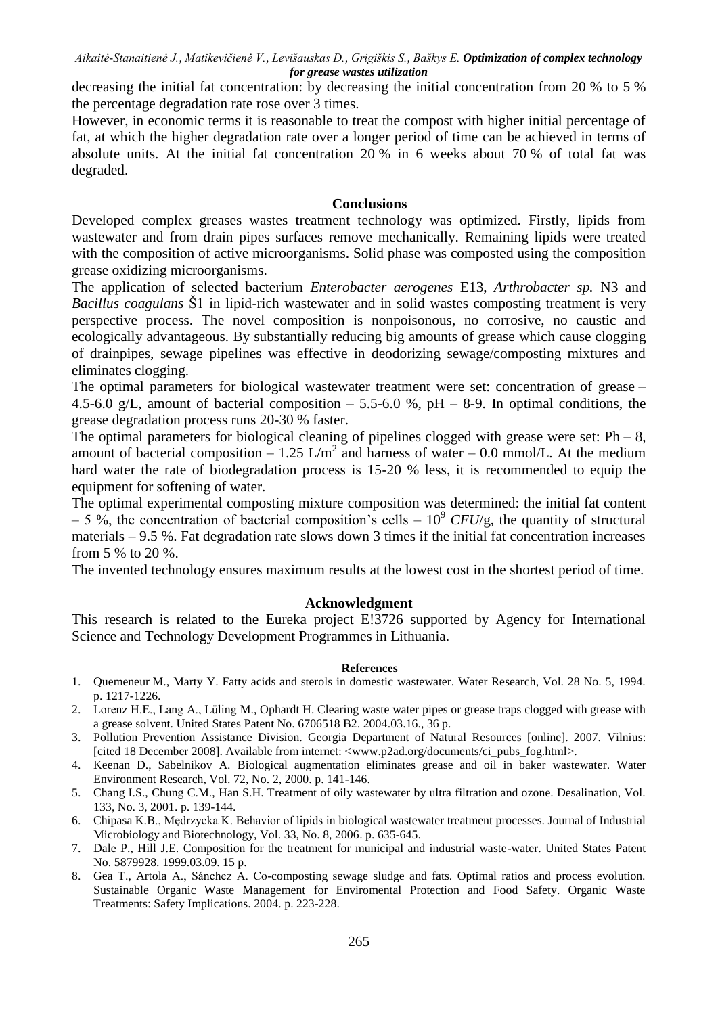decreasing the initial fat concentration: by decreasing the initial concentration from 20 % to 5 % the percentage degradation rate rose over 3 times.

However, in economic terms it is reasonable to treat the compost with higher initial percentage of fat, at which the higher degradation rate over a longer period of time can be achieved in terms of absolute units. At the initial fat concentration 20 % in 6 weeks about 70 % of total fat was degraded.

# **Conclusions**

Developed complex greases wastes treatment technology was optimized. Firstly, lipids from wastewater and from drain pipes surfaces remove mechanically. Remaining lipids were treated with the composition of active microorganisms. Solid phase was composted using the composition grease oxidizing microorganisms.

The application of selected bacterium *Enterobacter aerogenes* E13, *Arthrobacter sp.* N3 and *Bacillus coagulans* Š1 in lipid-rich wastewater and in solid wastes composting treatment is very perspective process. The novel composition is nonpoisonous, no corrosive, no caustic and ecologically advantageous. By substantially reducing big amounts of grease which cause clogging of drainpipes, sewage pipelines was effective in deodorizing sewage/composting mixtures and eliminates clogging.

The optimal parameters for biological wastewater treatment were set: concentration of grease – 4.5-6.0 g/L, amount of bacterial composition  $-$  5.5-6.0 %, pH  $-$  8-9. In optimal conditions, the grease degradation process runs 20-30 % faster.

The optimal parameters for biological cleaning of pipelines clogged with grease were set:  $Ph - 8$ , amount of bacterial composition – 1.25 L/m<sup>2</sup> and harness of water – 0.0 mmol/L. At the medium hard water the rate of biodegradation process is 15-20 % less, it is recommended to equip the equipment for softening of water.

The optimal experimental composting mixture composition was determined: the initial fat content  $-5\%$ , the concentration of bacterial composition's cells  $-10^9$  *CFU*/g, the quantity of structural materials – 9.5 %. Fat degradation rate slows down 3 times if the initial fat concentration increases from 5 % to 20 %.

The invented technology ensures maximum results at the lowest cost in the shortest period of time.

## **Acknowledgment**

This research is related to the Eureka project E!3726 supported by Agency for International Science and Technology Development Programmes in Lithuania.

#### **References**

- 1. Quemeneur M., Marty Y. Fatty acids and sterols in domestic wastewater. Water Research, Vol. 28 No. 5, 1994. p. 1217-1226.
- 2. Lorenz H.E., Lang A., Lüling M., Ophardt H. Clearing waste water pipes or grease traps clogged with grease with a grease solvent. United States Patent No. 6706518 B2. 2004.03.16., 36 p.
- 3. Pollution Prevention Assistance Division. Georgia Department of Natural Resources [online]. 2007. Vilnius: [cited 18 December 2008]. Available from internet: [<www.p2ad.org/documents/ci\\_pubs\\_fog.html>](http://www.p2ad.org/documents/ci_pubs_fog.html).
- 4. Keenan D., Sabelnikov A. Biological augmentation eliminates grease and oil in baker wastewater. Water Environment Research, Vol. 72, No. 2, 2000. p. 141-146.
- 5. Chang I.S., Chung C.M., Han S.H. Treatment of oily wastewater by ultra filtration and ozone. Desalination, Vol. 133, No. 3, 2001. p. 139-144.
- 6. Chipasa K.B., Mędrzycka K. Behavior of lipids in biological wastewater treatment processes. Journal of Industrial Microbiology and Biotechnology, Vol. 33, No. 8, 2006. p. 635-645.
- 7. Dale P., Hill J.E. Composition for the treatment for municipal and industrial waste-water. United States Patent No. 5879928. 1999.03.09. 15 p.
- 8. Gea T., Artola A., Sánchez A. Co-composting sewage sludge and fats. Optimal ratios and process evolution. Sustainable Organic Waste Management for Enviromental Protection and Food Safety. Organic Waste Treatments: Safety Implications. 2004. p. 223-228.